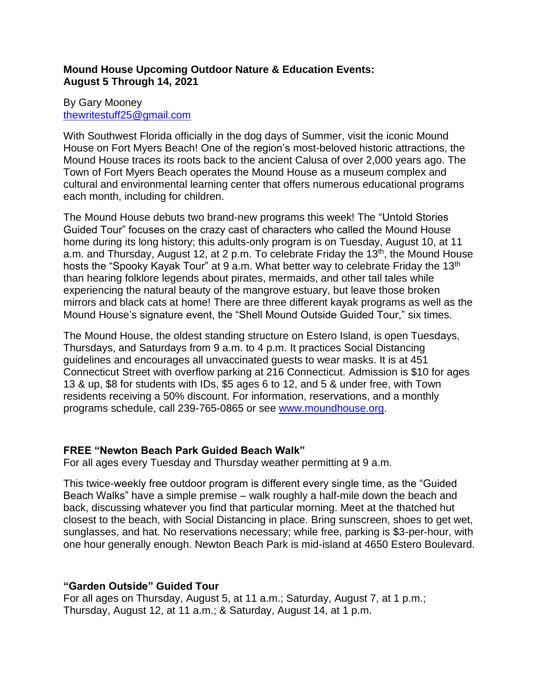## **Mound House Upcoming Outdoor Nature & Education Events: August 5 Through 14, 2021**

### By Gary Mooney [thewritestuff25@gmail.com](mailto:thewritestuff25@gmail.com)

With Southwest Florida officially in the dog days of Summer, visit the iconic Mound House on Fort Myers Beach! One of the region's most-beloved historic attractions, the Mound House traces its roots back to the ancient Calusa of over 2,000 years ago. The Town of Fort Myers Beach operates the Mound House as a museum complex and cultural and environmental learning center that offers numerous educational programs each month, including for children.

The Mound House debuts two brand-new programs this week! The "Untold Stories Guided Tour" focuses on the crazy cast of characters who called the Mound House home during its long history; this adults-only program is on Tuesday, August 10, at 11 a.m. and Thursday, August 12, at 2 p.m. To celebrate Friday the  $13<sup>th</sup>$ , the Mound House hosts the "Spooky Kayak Tour" at 9 a.m. What better way to celebrate Friday the 13<sup>th</sup> than hearing folklore legends about pirates, mermaids, and other tall tales while experiencing the natural beauty of the mangrove estuary, but leave those broken mirrors and black cats at home! There are three different kayak programs as well as the Mound House's signature event, the "Shell Mound Outside Guided Tour," six times.

The Mound House, the oldest standing structure on Estero Island, is open Tuesdays, Thursdays, and Saturdays from 9 a.m. to 4 p.m. It practices Social Distancing guidelines and encourages all unvaccinated guests to wear masks. It is at 451 Connecticut Street with overflow parking at 216 Connecticut. Admission is \$10 for ages 13 & up, \$8 for students with IDs, \$5 ages 6 to 12, and 5 & under free, with Town residents receiving a 50% discount. For information, reservations, and a monthly programs schedule, call 239-765-0865 or see [www.moundhouse.org.](http://www.moundhouse.org/)

# **FREE "Newton Beach Park Guided Beach Walk"**

For all ages every Tuesday and Thursday weather permitting at 9 a.m.

This twice-weekly free outdoor program is different every single time, as the "Guided Beach Walks" have a simple premise – walk roughly a half-mile down the beach and back, discussing whatever you find that particular morning. Meet at the thatched hut closest to the beach, with Social Distancing in place. Bring sunscreen, shoes to get wet, sunglasses, and hat. No reservations necessary; while free, parking is \$3-per-hour, with one hour generally enough. Newton Beach Park is mid-island at 4650 Estero Boulevard.

# **"Garden Outside" Guided Tour**

For all ages on Thursday, August 5, at 11 a.m.; Saturday, August 7, at 1 p.m.; Thursday, August 12, at 11 a.m.; & Saturday, August 14, at 1 p.m.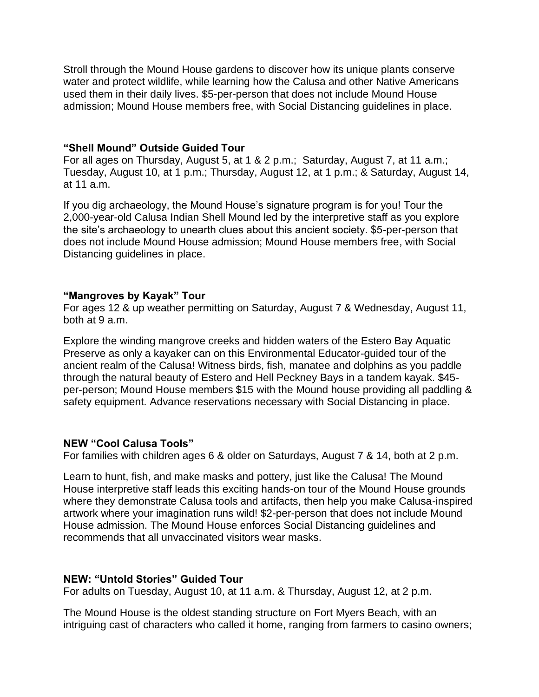Stroll through the Mound House gardens to discover how its unique plants conserve water and protect wildlife, while learning how the Calusa and other Native Americans used them in their daily lives. \$5-per-person that does not include Mound House admission; Mound House members free, with Social Distancing guidelines in place.

#### **"Shell Mound" Outside Guided Tour**

For all ages on Thursday, August 5, at 1 & 2 p.m.; Saturday, August 7, at 11 a.m.; Tuesday, August 10, at 1 p.m.; Thursday, August 12, at 1 p.m.; & Saturday, August 14, at 11 a.m.

If you dig archaeology, the Mound House's signature program is for you! Tour the 2,000-year-old Calusa Indian Shell Mound led by the interpretive staff as you explore the site's archaeology to unearth clues about this ancient society. \$5-per-person that does not include Mound House admission; Mound House members free, with Social Distancing guidelines in place.

#### **"Mangroves by Kayak" Tour**

For ages 12 & up weather permitting on Saturday, August 7 & Wednesday, August 11, both at 9 a.m.

Explore the winding mangrove creeks and hidden waters of the Estero Bay Aquatic Preserve as only a kayaker can on this Environmental Educator-guided tour of the ancient realm of the Calusa! Witness birds, fish, manatee and dolphins as you paddle through the natural beauty of Estero and Hell Peckney Bays in a tandem kayak. \$45 per-person; Mound House members \$15 with the Mound house providing all paddling & safety equipment. Advance reservations necessary with Social Distancing in place.

### **NEW "Cool Calusa Tools"**

For families with children ages 6 & older on Saturdays, August 7 & 14, both at 2 p.m.

Learn to hunt, fish, and make masks and pottery, just like the Calusa! The Mound House interpretive staff leads this exciting hands-on tour of the Mound House grounds where they demonstrate Calusa tools and artifacts, then help you make Calusa-inspired artwork where your imagination runs wild! \$2-per-person that does not include Mound House admission. The Mound House enforces Social Distancing guidelines and recommends that all unvaccinated visitors wear masks.

### **NEW: "Untold Stories" Guided Tour**

For adults on Tuesday, August 10, at 11 a.m. & Thursday, August 12, at 2 p.m.

The Mound House is the oldest standing structure on Fort Myers Beach, with an intriguing cast of characters who called it home, ranging from farmers to casino owners;